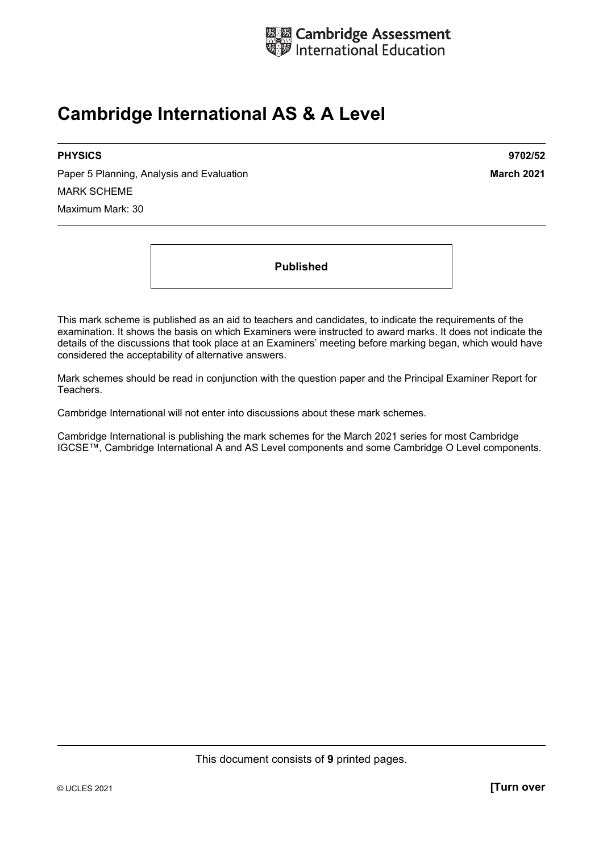

# **Cambridge International AS & A Level**

Paper 5 Planning, Analysis and Evaluation **March 2021 March 2021** MARK SCHEME Maximum Mark: 30

**PHYSICS 9702/52** 

**Published** 

This mark scheme is published as an aid to teachers and candidates, to indicate the requirements of the examination. It shows the basis on which Examiners were instructed to award marks. It does not indicate the details of the discussions that took place at an Examiners' meeting before marking began, which would have considered the acceptability of alternative answers.

Mark schemes should be read in conjunction with the question paper and the Principal Examiner Report for Teachers.

Cambridge International will not enter into discussions about these mark schemes.

Cambridge International is publishing the mark schemes for the March 2021 series for most Cambridge IGCSE™, Cambridge International A and AS Level components and some Cambridge O Level components.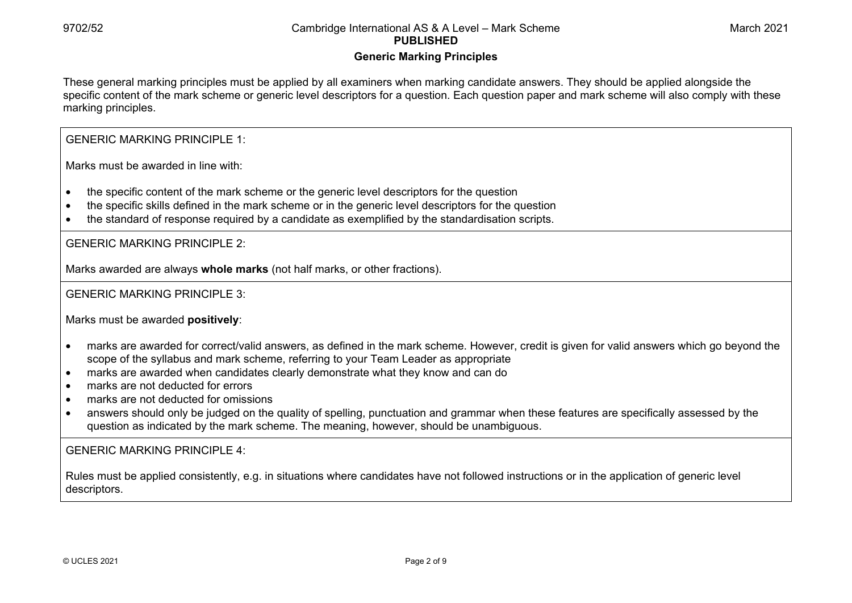#### **Generic Marking Principles**

These general marking principles must be applied by all examiners when marking candidate answers. They should be applied alongside the specific content of the mark scheme or generic level descriptors for a question. Each question paper and mark scheme will also comply with these marking principles.

GENERIC MARKING PRINCIPLE 1:

Marks must be awarded in line with:

- the specific content of the mark scheme or the generic level descriptors for the question
- the specific skills defined in the mark scheme or in the generic level descriptors for the question
- the standard of response required by a candidate as exemplified by the standardisation scripts.

GENERIC MARKING PRINCIPLE 2:

Marks awarded are always **whole marks** (not half marks, or other fractions).

GENERIC MARKING PRINCIPLE 3:

Marks must be awarded **positively**:

- marks are awarded for correct/valid answers, as defined in the mark scheme. However, credit is given for valid answers which go beyond the scope of the syllabus and mark scheme, referring to your Team Leader as appropriate
- marks are awarded when candidates clearly demonstrate what they know and can do
- marks are not deducted for errors
- marks are not deducted for omissions
- answers should only be judged on the quality of spelling, punctuation and grammar when these features are specifically assessed by the question as indicated by the mark scheme. The meaning, however, should be unambiguous.

GENERIC MARKING PRINCIPLE  $4<sup>T</sup>$ 

Rules must be applied consistently, e.g. in situations where candidates have not followed instructions or in the application of generic level descriptors.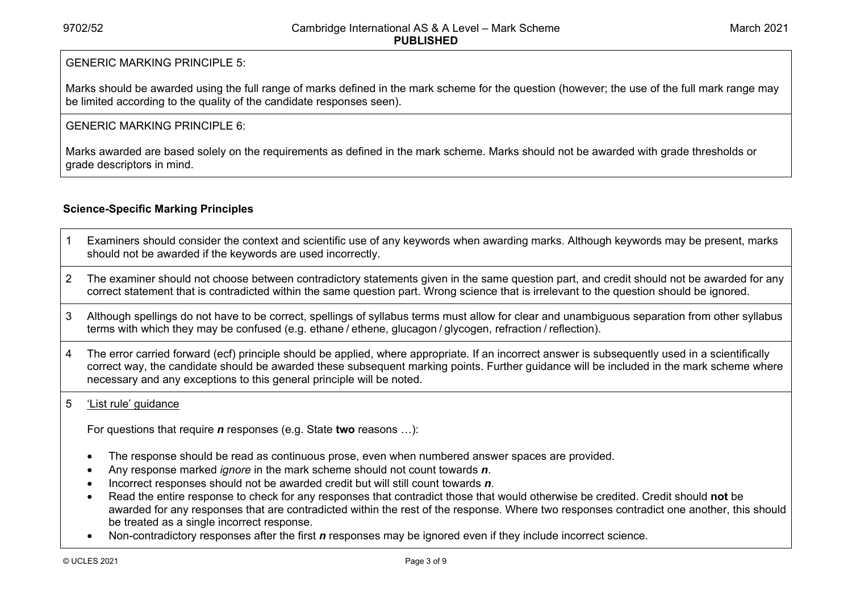#### GENERIC MARKING PRINCIPLE 5:

Marks should be awarded using the full range of marks defined in the mark scheme for the question (however; the use of the full mark range may be limited according to the quality of the candidate responses seen).

#### GENERIC MARKING PRINCIPLE 6:

Marks awarded are based solely on the requirements as defined in the mark scheme. Marks should not be awarded with grade thresholds or grade descriptors in mind.

### **Science-Specific Marking Principles**

- 1 Examiners should consider the context and scientific use of any keywords when awarding marks. Although keywords may be present, marks should not be awarded if the keywords are used incorrectly.
- 2 The examiner should not choose between contradictory statements given in the same question part, and credit should not be awarded for any correct statement that is contradicted within the same question part. Wrong science that is irrelevant to the question should be ignored.
- 3 Although spellings do not have to be correct, spellings of syllabus terms must allow for clear and unambiguous separation from other syllabus terms with which they may be confused (e.g. ethane / ethene, glucagon / glycogen, refraction / reflection).
- 4 The error carried forward (ecf) principle should be applied, where appropriate. If an incorrect answer is subsequently used in a scientifically correct way, the candidate should be awarded these subsequent marking points. Further guidance will be included in the mark scheme where necessary and any exceptions to this general principle will be noted.

#### 5 'List rule' guidance

For questions that require *<sup>n</sup>* responses (e.g. State **two** reasons …):

- The response should be read as continuous prose, even when numbered answer spaces are provided.
- Any response marked *ignore* in the mark scheme should not count towards *n*.
- Incorrect responses should not be awarded credit but will still count towards *n*.
- Read the entire response to check for any responses that contradict those that would otherwise be credited. Credit should **not** be awarded for any responses that are contradicted within the rest of the response. Where two responses contradict one another, this should be treated as a single incorrect response.
- Non-contradictory responses after the first *n* responses may be ignored even if they include incorrect science.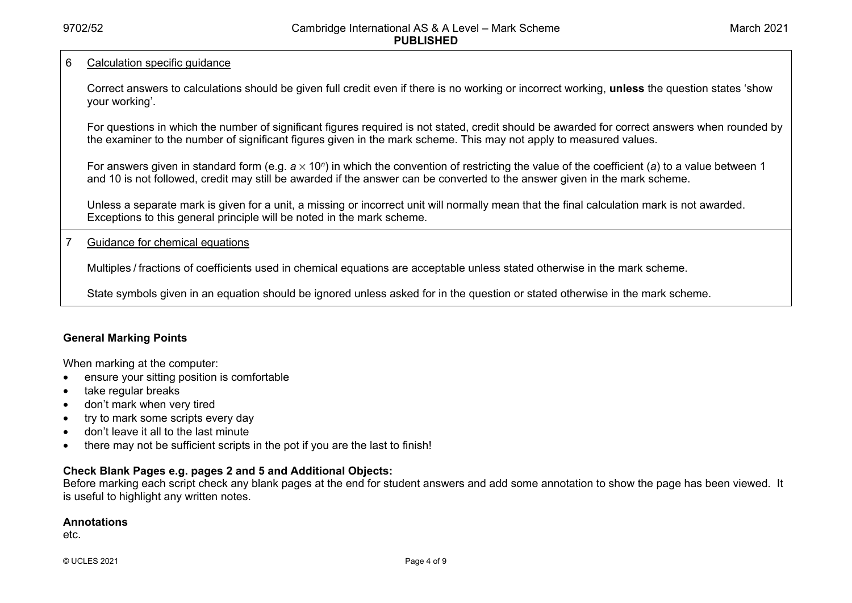#### 6 Calculation specific guidance

Correct answers to calculations should be given full credit even if there is no working or incorrect working, **unless** the question states 'show your working'.

For questions in which the number of significant figures required is not stated, credit should be awarded for correct answers when rounded by the examiner to the number of significant figures given in the mark scheme. This may not apply to measured values.

For answers given in standard form (e.g. *a* × 10<sup>*n*</sup>) in which the convention of restricting the value of the coefficient (*a*) to a value between 1 and 10 is not followed, credit may still be awarded if the answer can be converted to the answer given in the mark scheme.

Unless a separate mark is given for a unit, a missing or incorrect unit will normally mean that the final calculation mark is not awarded. Exceptions to this general principle will be noted in the mark scheme.

7 Guidance for chemical equations

Multiples / fractions of coefficients used in chemical equations are acceptable unless stated otherwise in the mark scheme.

State symbols given in an equation should be ignored unless asked for in the question or stated otherwise in the mark scheme.

#### **General Marking Points**

When marking at the computer:

- ensure your sitting position is comfortable
- take regular breaks
- don't mark when very tired
- try to mark some scripts every day
- don't leave it all to the last minute
- there may not be sufficient scripts in the pot if you are the last to finish!

#### **Check Blank Pages e.g. pages 2 and 5 and Additional Objects:**

Before marking each script check any blank pages at the end for student answers and add some annotation to show the page has been viewed. It is useful to highlight any written notes.

#### **Annotations**

etc.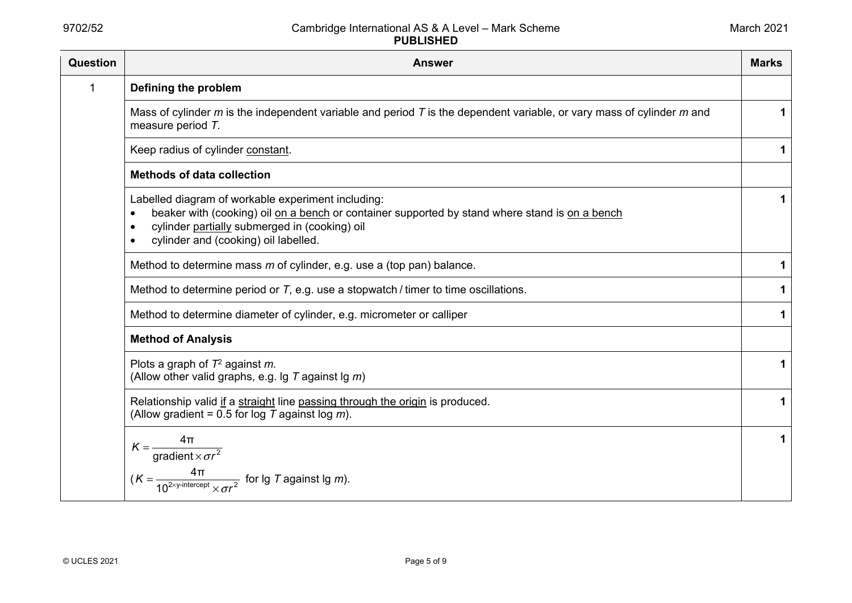| Question | <b>Answer</b>                                                                                                                                                                                                                                 | <b>Marks</b> |
|----------|-----------------------------------------------------------------------------------------------------------------------------------------------------------------------------------------------------------------------------------------------|--------------|
| 1        | Defining the problem                                                                                                                                                                                                                          |              |
|          | Mass of cylinder $m$ is the independent variable and period $T$ is the dependent variable, or vary mass of cylinder $m$ and<br>measure period T.                                                                                              | 1            |
|          | Keep radius of cylinder constant.                                                                                                                                                                                                             | 1            |
|          | <b>Methods of data collection</b>                                                                                                                                                                                                             |              |
|          | Labelled diagram of workable experiment including:<br>beaker with (cooking) oil on a bench or container supported by stand where stand is on a bench<br>cylinder partially submerged in (cooking) oil<br>cylinder and (cooking) oil labelled. | $\mathbf 1$  |
|          | Method to determine mass $m$ of cylinder, e.g. use a (top pan) balance.                                                                                                                                                                       | 1            |
|          | Method to determine period or $T$ , e.g. use a stopwatch / timer to time oscillations.                                                                                                                                                        | 1            |
|          | Method to determine diameter of cylinder, e.g. micrometer or calliper                                                                                                                                                                         | 1            |
|          | <b>Method of Analysis</b>                                                                                                                                                                                                                     |              |
|          | Plots a graph of $T^2$ against m.<br>(Allow other valid graphs, e.g. $\lg T$ against $\lg m$ )                                                                                                                                                | 1            |
|          | Relationship valid if a straight line passing through the origin is produced.<br>(Allow gradient = 0.5 for log $T$ against log $m$ ).                                                                                                         | 1            |
|          | $4\pi$<br>$K = \frac{4H}{\text{gradient} \times \sigma r^2}$<br>$(K = \frac{4\pi}{10^{2\times y\text{-intercept}} \times \sigma r^2}$ for lg T against lg m).                                                                                 | $\mathbf 1$  |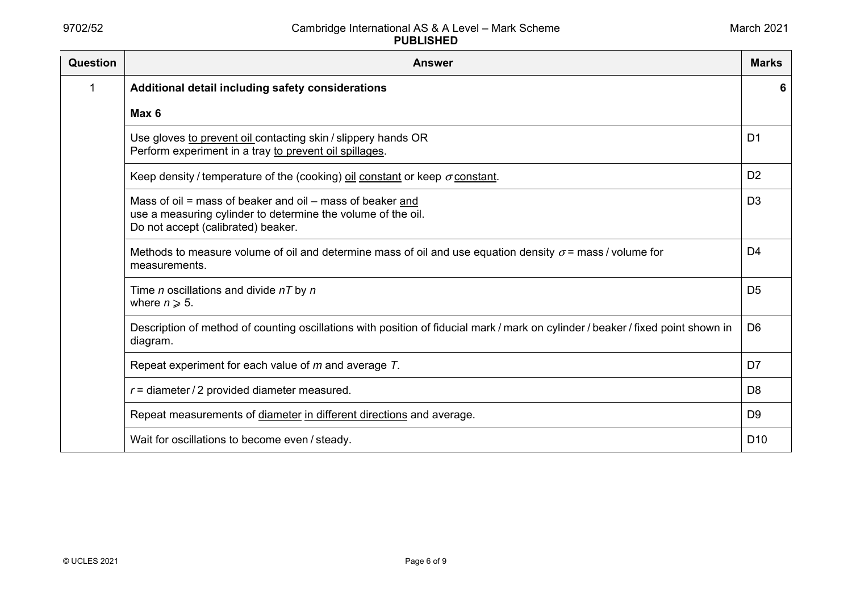| <b>Question</b> | <b>Answer</b>                                                                                                                                                   | <b>Marks</b>    |
|-----------------|-----------------------------------------------------------------------------------------------------------------------------------------------------------------|-----------------|
| 1               | Additional detail including safety considerations                                                                                                               | 6               |
|                 | Max 6                                                                                                                                                           |                 |
|                 | Use gloves to prevent oil contacting skin / slippery hands OR<br>Perform experiment in a tray to prevent oil spillages.                                         | D <sub>1</sub>  |
|                 | Keep density / temperature of the (cooking) oil constant or keep $\sigma$ constant.                                                                             | D <sub>2</sub>  |
|                 | Mass of oil = mass of beaker and oil – mass of beaker and<br>use a measuring cylinder to determine the volume of the oil.<br>Do not accept (calibrated) beaker. | D <sub>3</sub>  |
|                 | Methods to measure volume of oil and determine mass of oil and use equation density $\sigma$ = mass / volume for<br>measurements.                               | D4              |
|                 | Time n oscillations and divide $nT$ by n<br>where $n \geqslant 5$ .                                                                                             | D <sub>5</sub>  |
|                 | Description of method of counting oscillations with position of fiducial mark / mark on cylinder / beaker / fixed point shown in<br>diagram.                    | D <sub>6</sub>  |
|                 | Repeat experiment for each value of $m$ and average $T$ .                                                                                                       | D7              |
|                 | $r =$ diameter / 2 provided diameter measured.                                                                                                                  | D <sub>8</sub>  |
|                 | Repeat measurements of diameter in different directions and average.                                                                                            | D <sub>9</sub>  |
|                 | Wait for oscillations to become even / steady.                                                                                                                  | D <sub>10</sub> |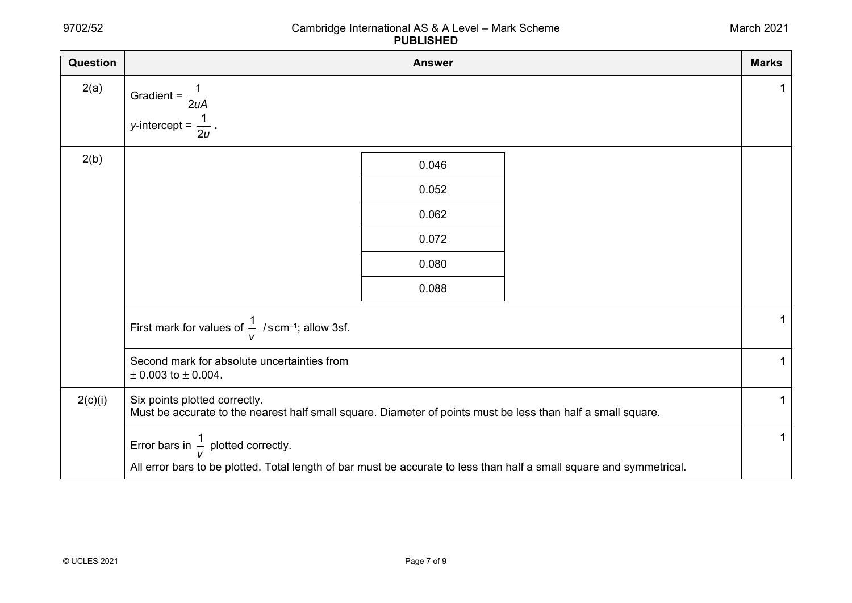| <b>Question</b> | <b>Answer</b>                                                                                                                                                          | <b>Marks</b> |
|-----------------|------------------------------------------------------------------------------------------------------------------------------------------------------------------------|--------------|
| 2(a)            | Gradient = $\frac{1}{2}$<br>2uA                                                                                                                                        | 1            |
|                 | y-intercept = $\frac{1}{6}$                                                                                                                                            |              |
| 2(b)            | 0.046                                                                                                                                                                  |              |
|                 | 0.052                                                                                                                                                                  |              |
|                 | 0.062                                                                                                                                                                  |              |
|                 | 0.072                                                                                                                                                                  |              |
|                 | 0.080                                                                                                                                                                  |              |
|                 | 0.088                                                                                                                                                                  |              |
|                 | First mark for values of $\frac{1}{v}$ /s cm <sup>-1</sup> ; allow 3sf.                                                                                                | 1            |
|                 | Second mark for absolute uncertainties from<br>$\pm$ 0.003 to $\pm$ 0.004.                                                                                             | 1            |
| 2(c)(i)         | Six points plotted correctly.<br>Must be accurate to the nearest half small square. Diameter of points must be less than half a small square.                          | $\mathbf 1$  |
|                 | Error bars in $\frac{1}{V}$ plotted correctly.<br>All error bars to be plotted. Total length of bar must be accurate to less than half a small square and symmetrical. | $\mathbf{1}$ |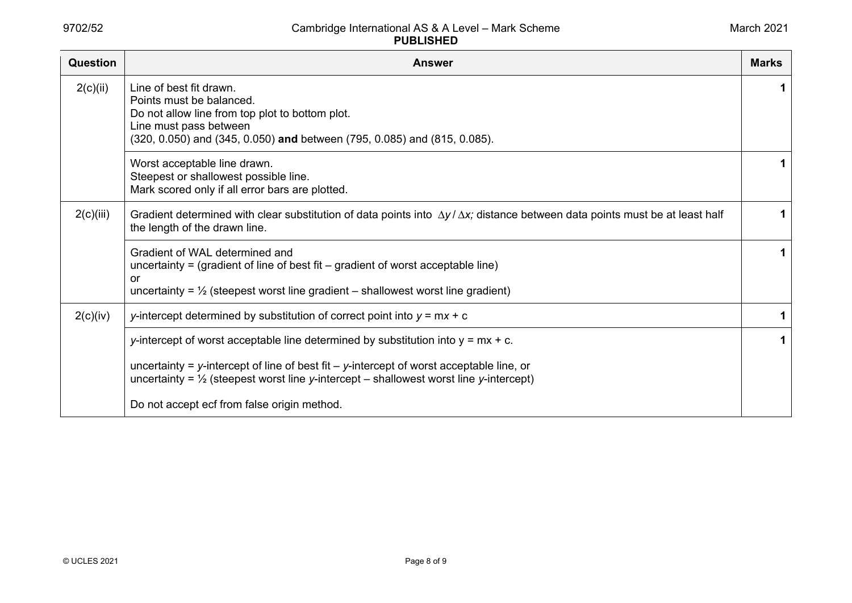| <b>Question</b> | <b>Answer</b>                                                                                                                                                                                                                                                                          | <b>Marks</b> |
|-----------------|----------------------------------------------------------------------------------------------------------------------------------------------------------------------------------------------------------------------------------------------------------------------------------------|--------------|
| 2(c)(ii)        | Line of best fit drawn.<br>Points must be balanced.<br>Do not allow line from top plot to bottom plot.<br>Line must pass between<br>(320, 0.050) and (345, 0.050) and between (795, 0.085) and (815, 0.085).                                                                           | 1.           |
|                 | Worst acceptable line drawn.<br>Steepest or shallowest possible line.<br>Mark scored only if all error bars are plotted.                                                                                                                                                               |              |
| 2(c)(iii)       | Gradient determined with clear substitution of data points into $\Delta y / \Delta x$ ; distance between data points must be at least half<br>the length of the drawn line.                                                                                                            |              |
|                 | Gradient of WAL determined and<br>uncertainty = (gradient of line of best fit $-$ gradient of worst acceptable line)<br>or<br>uncertainty = $\frac{1}{2}$ (steepest worst line gradient – shallowest worst line gradient)                                                              |              |
| 2(c)(iv)        | y-intercept determined by substitution of correct point into $y = mx + c$                                                                                                                                                                                                              | 1            |
|                 | y-intercept of worst acceptable line determined by substitution into $y = mx + c$ .<br>uncertainty = y-intercept of line of best fit $-$ y-intercept of worst acceptable line, or<br>uncertainty = $\frac{1}{2}$ (steepest worst line y-intercept – shallowest worst line y-intercept) | 1            |
|                 | Do not accept ecf from false origin method.                                                                                                                                                                                                                                            |              |